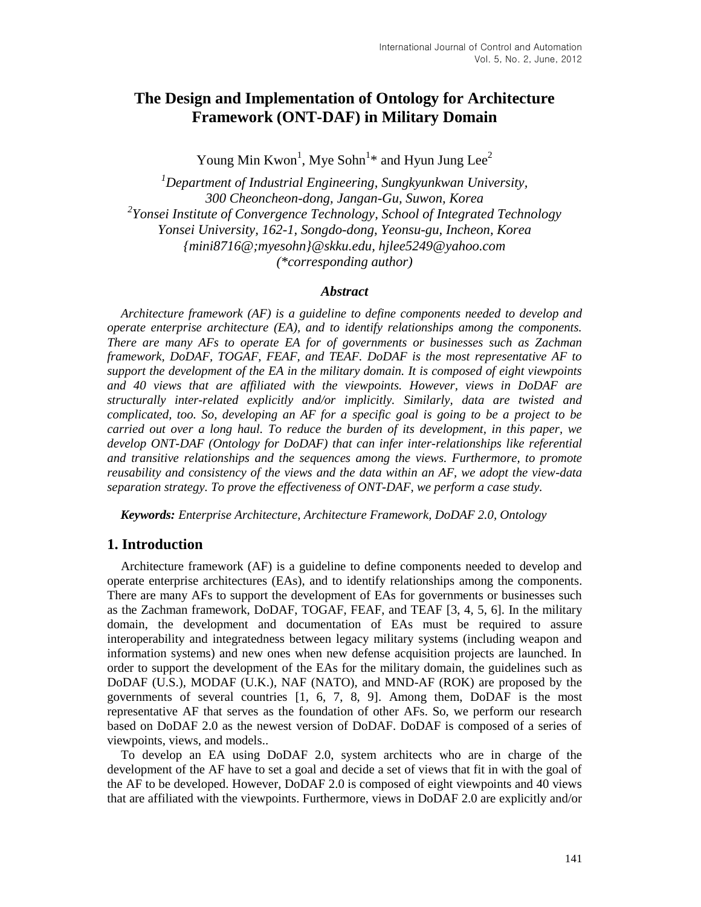# **The Design and Implementation of Ontology for Architecture Framework (ONT-DAF) in Military Domain**

Young Min Kwon<sup>1</sup>, Mye Sohn<sup>1</sup>\* and Hyun Jung Lee<sup>2</sup>

*<sup>1</sup>Department of Industrial Engineering, Sungkyunkwan University, 300 Cheoncheon-dong, Jangan-Gu, Suwon, Korea 2 Yonsei Institute of Convergence Technology, School of Integrated Technology Yonsei University, 162-1, Songdo-dong, Yeonsu-gu, Incheon, Korea {mini8716@;myesohn}@skku.edu, hjlee5249@yahoo.com (\*corresponding author)*

### *Abstract*

*Architecture framework (AF) is a guideline to define components needed to develop and operate enterprise architecture (EA), and to identify relationships among the components. There are many AFs to operate EA for of governments or businesses such as Zachman framework, DoDAF, TOGAF, FEAF, and TEAF. DoDAF is the most representative AF to support the development of the EA in the military domain. It is composed of eight viewpoints and 40 views that are affiliated with the viewpoints. However, views in DoDAF are structurally inter-related explicitly and/or implicitly. Similarly, data are twisted and complicated, too. So, developing an AF for a specific goal is going to be a project to be carried out over a long haul. To reduce the burden of its development, in this paper, we develop ONT-DAF (Ontology for DoDAF) that can infer inter-relationships like referential and transitive relationships and the sequences among the views. Furthermore, to promote reusability and consistency of the views and the data within an AF, we adopt the view-data separation strategy. To prove the effectiveness of ONT-DAF, we perform a case study.*

*Keywords: Enterprise Architecture, Architecture Framework, DoDAF 2.0, Ontology*

## **1. Introduction**

Architecture framework (AF) is a guideline to define components needed to develop and operate enterprise architectures (EAs), and to identify relationships among the components. There are many AFs to support the development of EAs for governments or businesses such as the Zachman framework, DoDAF, TOGAF, FEAF, and TEAF [3, 4, 5, 6]. In the military domain, the development and documentation of EAs must be required to assure interoperability and integratedness between legacy military systems (including weapon and information systems) and new ones when new defense acquisition projects are launched. In order to support the development of the EAs for the military domain, the guidelines such as DoDAF (U.S.), MODAF (U.K.), NAF (NATO), and MND-AF (ROK) are proposed by the governments of several countries [1, 6, 7, 8, 9]. Among them, DoDAF is the most representative AF that serves as the foundation of other AFs. So, we perform our research based on DoDAF 2.0 as the newest version of DoDAF. DoDAF is composed of a series of viewpoints, views, and models..

To develop an EA using DoDAF 2.0, system architects who are in charge of the development of the AF have to set a goal and decide a set of views that fit in with the goal of the AF to be developed. However, DoDAF 2.0 is composed of eight viewpoints and 40 views that are affiliated with the viewpoints. Furthermore, views in DoDAF 2.0 are explicitly and/or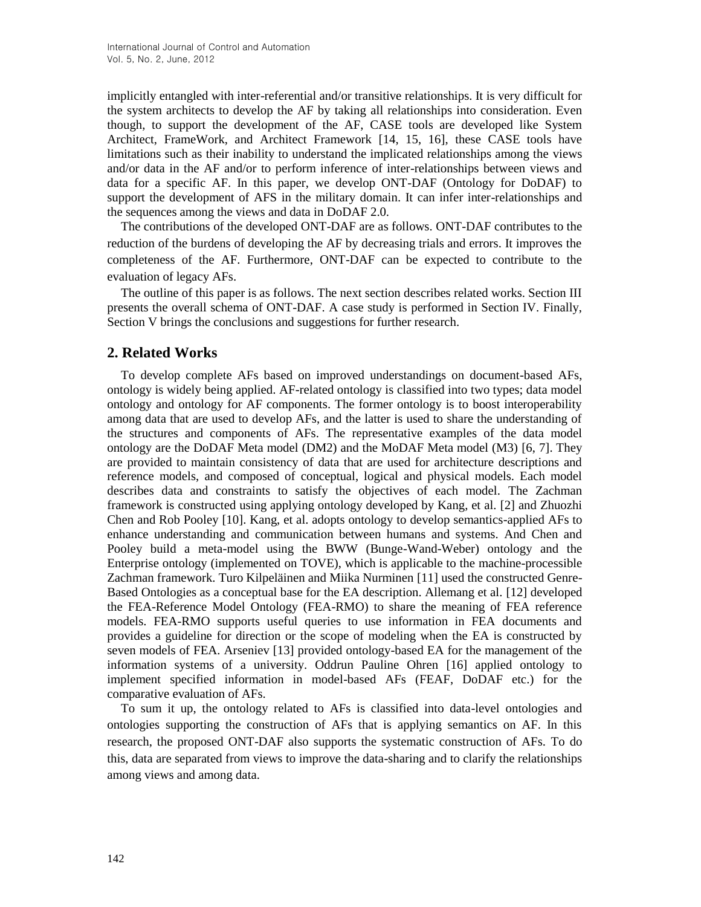implicitly entangled with inter-referential and/or transitive relationships. It is very difficult for the system architects to develop the AF by taking all relationships into consideration. Even though, to support the development of the AF, CASE tools are developed like System Architect, FrameWork, and Architect Framework [14, 15, 16], these CASE tools have limitations such as their inability to understand the implicated relationships among the views and/or data in the AF and/or to perform inference of inter-relationships between views and data for a specific AF. In this paper, we develop ONT-DAF (Ontology for DoDAF) to support the development of AFS in the military domain. It can infer inter-relationships and the sequences among the views and data in DoDAF 2.0.

The contributions of the developed ONT-DAF are as follows. ONT-DAF contributes to the reduction of the burdens of developing the AF by decreasing trials and errors. It improves the completeness of the AF. Furthermore, ONT-DAF can be expected to contribute to the evaluation of legacy AFs.

The outline of this paper is as follows. The next section describes related works. Section III presents the overall schema of ONT-DAF. A case study is performed in Section IV. Finally, Section V brings the conclusions and suggestions for further research.

## **2. Related Works**

To develop complete AFs based on improved understandings on document-based AFs, ontology is widely being applied. AF-related ontology is classified into two types; data model ontology and ontology for AF components. The former ontology is to boost interoperability among data that are used to develop AFs, and the latter is used to share the understanding of the structures and components of AFs. The representative examples of the data model ontology are the DoDAF Meta model (DM2) and the MoDAF Meta model (M3) [6, 7]. They are provided to maintain consistency of data that are used for architecture descriptions and reference models, and composed of conceptual, logical and physical models. Each model describes data and constraints to satisfy the objectives of each model. The Zachman framework is constructed using applying ontology developed by Kang, et al. [2] and Zhuozhi Chen and Rob Pooley [10]. Kang, et al. adopts ontology to develop semantics-applied AFs to enhance understanding and communication between humans and systems. And Chen and Pooley build a meta-model using the BWW (Bunge-Wand-Weber) ontology and the Enterprise ontology (implemented on TOVE), which is applicable to the machine-processible Zachman framework. Turo Kilpeläinen and Miika Nurminen [11] used the constructed Genre-Based Ontologies as a conceptual base for the EA description. Allemang et al. [12] developed the FEA-Reference Model Ontology (FEA-RMO) to share the meaning of FEA reference models. FEA-RMO supports useful queries to use information in FEA documents and provides a guideline for direction or the scope of modeling when the EA is constructed by seven models of FEA. Arseniev [13] provided ontology-based EA for the management of the information systems of a university. Oddrun Pauline Ohren [16] applied ontology to implement specified information in model-based AFs (FEAF, DoDAF etc.) for the comparative evaluation of AFs.

To sum it up, the ontology related to AFs is classified into data-level ontologies and ontologies supporting the construction of AFs that is applying semantics on AF. In this research, the proposed ONT-DAF also supports the systematic construction of AFs. To do this, data are separated from views to improve the data-sharing and to clarify the relationships among views and among data.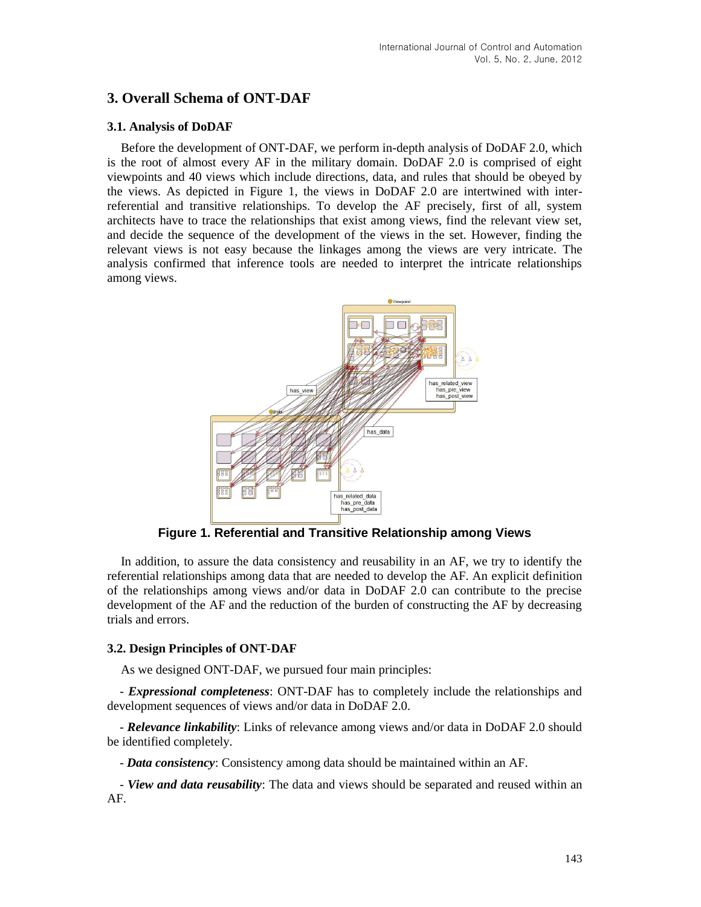## **3. Overall Schema of ONT-DAF**

### **3.1. Analysis of DoDAF**

Before the development of ONT-DAF, we perform in-depth analysis of DoDAF 2.0, which is the root of almost every AF in the military domain. DoDAF 2.0 is comprised of eight viewpoints and 40 views which include directions, data, and rules that should be obeyed by the views. As depicted in Figure 1, the views in DoDAF 2.0 are intertwined with interreferential and transitive relationships. To develop the AF precisely, first of all, system architects have to trace the relationships that exist among views, find the relevant view set, and decide the sequence of the development of the views in the set. However, finding the relevant views is not easy because the linkages among the views are very intricate. The analysis confirmed that inference tools are needed to interpret the intricate relationships among views.



**Figure 1. Referential and Transitive Relationship among Views**

In addition, to assure the data consistency and reusability in an AF, we try to identify the referential relationships among data that are needed to develop the AF. An explicit definition of the relationships among views and/or data in DoDAF 2.0 can contribute to the precise development of the AF and the reduction of the burden of constructing the AF by decreasing trials and errors.

## **3.2. Design Principles of ONT-DAF**

As we designed ONT-DAF, we pursued four main principles:

- *Expressional completeness*: ONT-DAF has to completely include the relationships and development sequences of views and/or data in DoDAF 2.0.

- *Relevance linkability*: Links of relevance among views and/or data in DoDAF 2.0 should be identified completely.

- *Data consistency*: Consistency among data should be maintained within an AF.

- *View and data reusability*: The data and views should be separated and reused within an AF.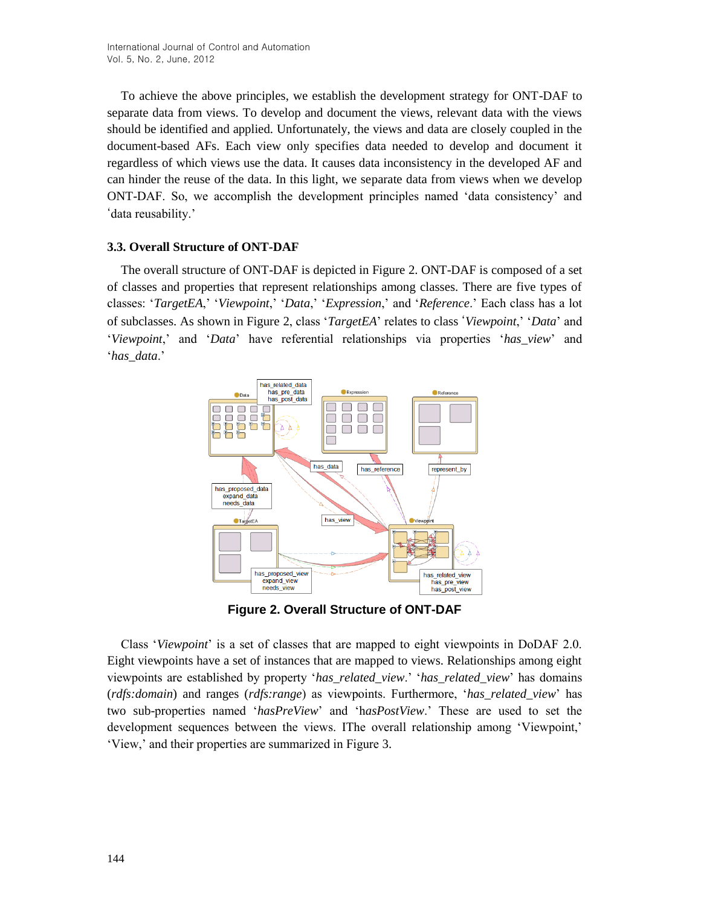To achieve the above principles, we establish the development strategy for ONT-DAF to separate data from views. To develop and document the views, relevant data with the views should be identified and applied. Unfortunately, the views and data are closely coupled in the document-based AFs. Each view only specifies data needed to develop and document it regardless of which views use the data. It causes data inconsistency in the developed AF and can hinder the reuse of the data. In this light, we separate data from views when we develop ONT-DAF. So, we accomplish the development principles named 'data consistency' and 'data reusability.'

## **3.3. Overall Structure of ONT-DAF**

The overall structure of ONT-DAF is depicted in Figure 2. ONT-DAF is composed of a set of classes and properties that represent relationships among classes. There are five types of classes: '*TargetEA*,' '*Viewpoint*,' '*Data*,' '*Expression*,' and '*Reference*.' Each class has a lot of subclasses. As shown in Figure 2, class '*TargetEA*' relates to class '*Viewpoint*,' '*Data*' and '*Viewpoint*,' and '*Data*' have referential relationships via properties '*has\_view*' and '*has\_data*.'



**Figure 2. Overall Structure of ONT-DAF**

Class '*Viewpoint*' is a set of classes that are mapped to eight viewpoints in DoDAF 2.0. Eight viewpoints have a set of instances that are mapped to views. Relationships among eight viewpoints are established by property '*has\_related\_view*.' '*has\_related\_view*' has domains (*rdfs:domain*) and ranges (*rdfs:range*) as viewpoints. Furthermore, '*has\_related\_view*' has two sub-properties named '*hasPreView*' and 'h*asPostView*.' These are used to set the development sequences between the views. IThe overall relationship among 'Viewpoint,' 'View,' and their properties are summarized in Figure 3.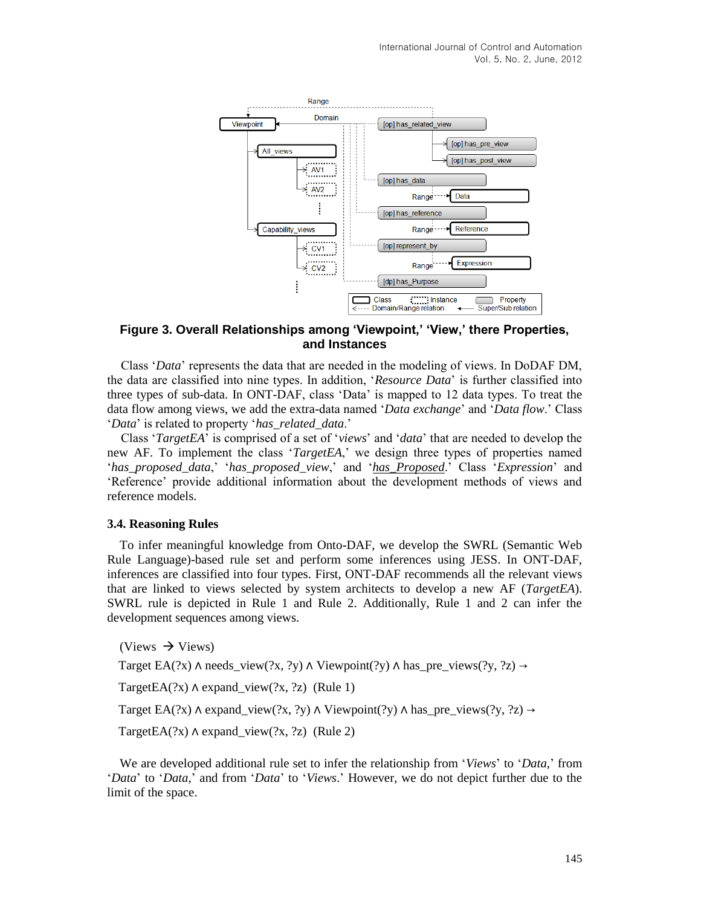

## **Figure 3. Overall Relationships among 'Viewpoint,' 'View,' there Properties, and Instances**

Class '*Data*' represents the data that are needed in the modeling of views. In DoDAF DM, the data are classified into nine types. In addition, '*Resource Data*' is further classified into three types of sub-data. In ONT-DAF, class 'Data' is mapped to 12 data types. To treat the data flow among views, we add the extra-data named '*Data exchange*' and '*Data flow*.' Class '*Data*' is related to property '*has\_related\_data*.'

Class '*TargetEA*' is comprised of a set of '*views*' and '*data*' that are needed to develop the new AF. To implement the class '*TargetEA*,' we design three types of properties named '*has\_proposed\_data*,' '*has\_proposed\_view*,' and '*has\_Proposed*.' Class '*Expression*' and 'Reference' provide additional information about the development methods of views and reference models.

### **3.4. Reasoning Rules**

To infer meaningful knowledge from Onto-DAF, we develop the SWRL (Semantic Web Rule Language)-based rule set and perform some inferences using JESS. In ONT-DAF, inferences are classified into four types. First, ONT-DAF recommends all the relevant views that are linked to views selected by system architects to develop a new AF (*TargetEA*). SWRL rule is depicted in Rule 1 and Rule 2. Additionally, Rule 1 and 2 can infer the development sequences among views.

 $(Views \rightarrow Views)$ 

Target EA(?x)  $\land$  needs\_view(?x, ?y)  $\land$  Viewpoint(?y)  $\land$  has\_pre\_views(?y, ?z)  $\rightarrow$ 

TargetEA $(?x)$   $\land$  expand view $(?x, ?z)$  (Rule 1)

Target EA(?x)  $\land$  expand\_view(?x, ?y)  $\land$  Viewpoint(?y)  $\land$  has\_pre\_views(?y, ?z)  $\rightarrow$ 

TargetEA $(?x)$   $\land$  expand\_view $(?x, ?z)$  (Rule 2)

We are developed additional rule set to infer the relationship from '*Views*' to '*Data*,' from '*Data*' to '*Data*,' and from '*Data*' to '*Views*.' However, we do not depict further due to the limit of the space.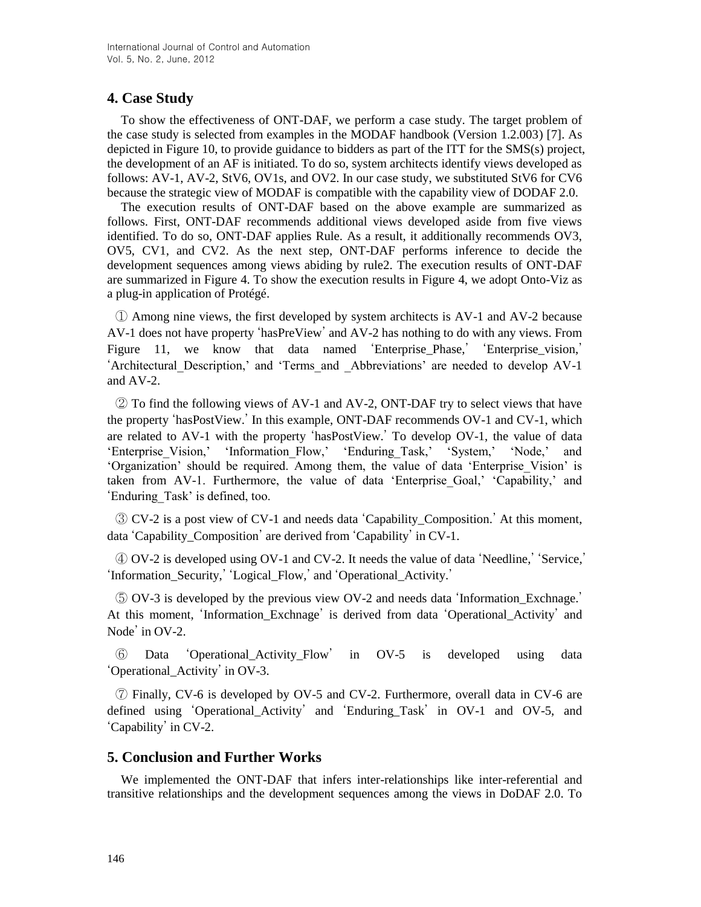# **4. Case Study**

To show the effectiveness of ONT-DAF, we perform a case study. The target problem of the case study is selected from examples in the MODAF handbook (Version 1.2.003) [7]. As depicted in Figure 10, to provide guidance to bidders as part of the ITT for the SMS(s) project, the development of an AF is initiated. To do so, system architects identify views developed as follows: AV-1, AV-2, StV6, OV1s, and OV2. In our case study, we substituted StV6 for CV6 because the strategic view of MODAF is compatible with the capability view of DODAF 2.0.

The execution results of ONT-DAF based on the above example are summarized as follows. First, ONT-DAF recommends additional views developed aside from five views identified. To do so, ONT-DAF applies Rule. As a result, it additionally recommends OV3, OV5, CV1, and CV2. As the next step, ONT-DAF performs inference to decide the development sequences among views abiding by rule2. The execution results of ONT-DAF are summarized in Figure 4. To show the execution results in Figure 4, we adopt Onto-Viz as a plug-in application of Protégé.

① Among nine views, the first developed by system architects is AV-1 and AV-2 because AV-1 does not have property 'hasPreView' and AV-2 has nothing to do with any views. From Figure 11, we know that data named 'Enterprise\_Phase,' 'Enterprise\_vision,' 'Architectural\_Description,' and 'Terms\_and \_Abbreviations' are needed to develop AV-1 and AV-2.

② To find the following views of AV-1 and AV-2, ONT-DAF try to select views that have the property 'hasPostView.' In this example, ONT-DAF recommends OV-1 and CV-1, which are related to AV-1 with the property 'hasPostView.' To develop OV-1, the value of data 'Enterprise\_Vision,' 'Information\_Flow,' 'Enduring\_Task,' 'System,' 'Node,' and 'Organization' should be required. Among them, the value of data 'Enterprise\_Vision' is taken from AV-1. Furthermore, the value of data 'Enterprise\_Goal,' 'Capability,' and 'Enduring\_Task' is defined, too.

③ CV-2 is a post view of CV-1 and needs data 'Capability\_Composition.' At this moment, data 'Capability\_Composition' are derived from 'Capability' in CV-1.

④ OV-2 is developed using OV-1 and CV-2. It needs the value of data 'Needline,' 'Service,' 'Information\_Security,' 'Logical\_Flow,' and 'Operational\_Activity.'

⑤ OV-3 is developed by the previous view OV-2 and needs data 'Information\_Exchnage.' At this moment, 'Information\_Exchnage' is derived from data 'Operational\_Activity' and Node' in OV-2.

⑥ Data 'Operational\_Activity\_Flow' in OV-5 is developed using data 'Operational\_Activity' in OV-3.

⑦ Finally, CV-6 is developed by OV-5 and CV-2. Furthermore, overall data in CV-6 are defined using 'Operational\_Activity' and 'Enduring\_Task' in OV-1 and OV-5, and 'Capability' in CV-2.

## **5. Conclusion and Further Works**

We implemented the ONT-DAF that infers inter-relationships like inter-referential and transitive relationships and the development sequences among the views in DoDAF 2.0. To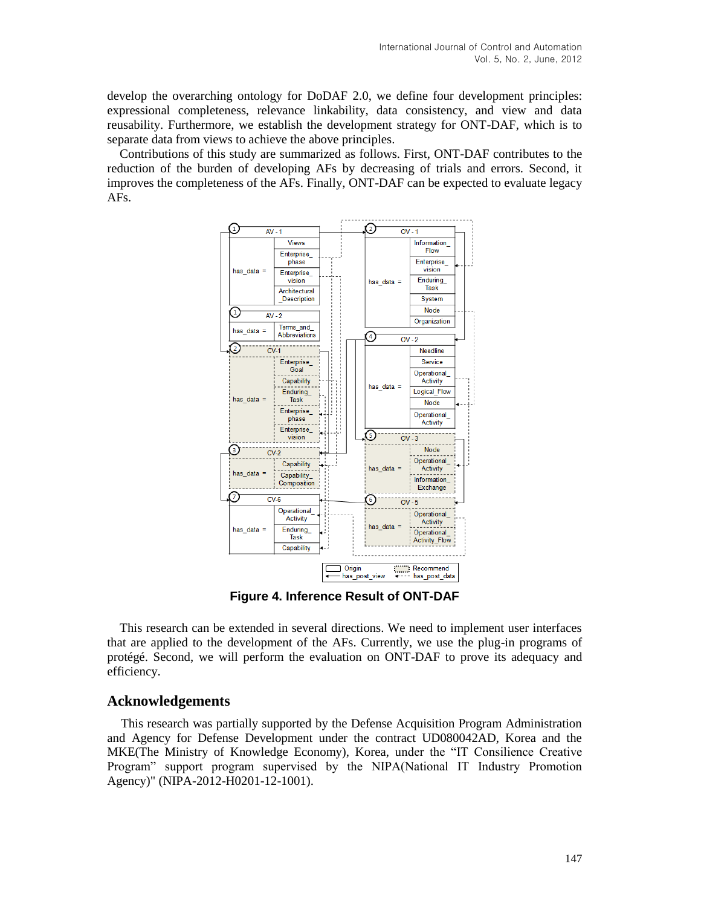develop the overarching ontology for DoDAF 2.0, we define four development principles: expressional completeness, relevance linkability, data consistency, and view and data reusability. Furthermore, we establish the development strategy for ONT-DAF, which is to separate data from views to achieve the above principles.

Contributions of this study are summarized as follows. First, ONT-DAF contributes to the reduction of the burden of developing AFs by decreasing of trials and errors. Second, it improves the completeness of the AFs. Finally, ONT-DAF can be expected to evaluate legacy AFs.



**Figure 4. Inference Result of ONT-DAF**

This research can be extended in several directions. We need to implement user interfaces that are applied to the development of the AFs. Currently, we use the plug-in programs of protégé. Second, we will perform the evaluation on ONT-DAF to prove its adequacy and efficiency.

## **Acknowledgements**

This research was partially supported by the Defense Acquisition Program Administration and Agency for Defense Development under the contract UD080042AD, Korea and the MKE(The Ministry of Knowledge Economy), Korea, under the "IT Consilience Creative Program" support program supervised by the NIPA(National IT Industry Promotion Agency)" (NIPA-2012-H0201-12-1001).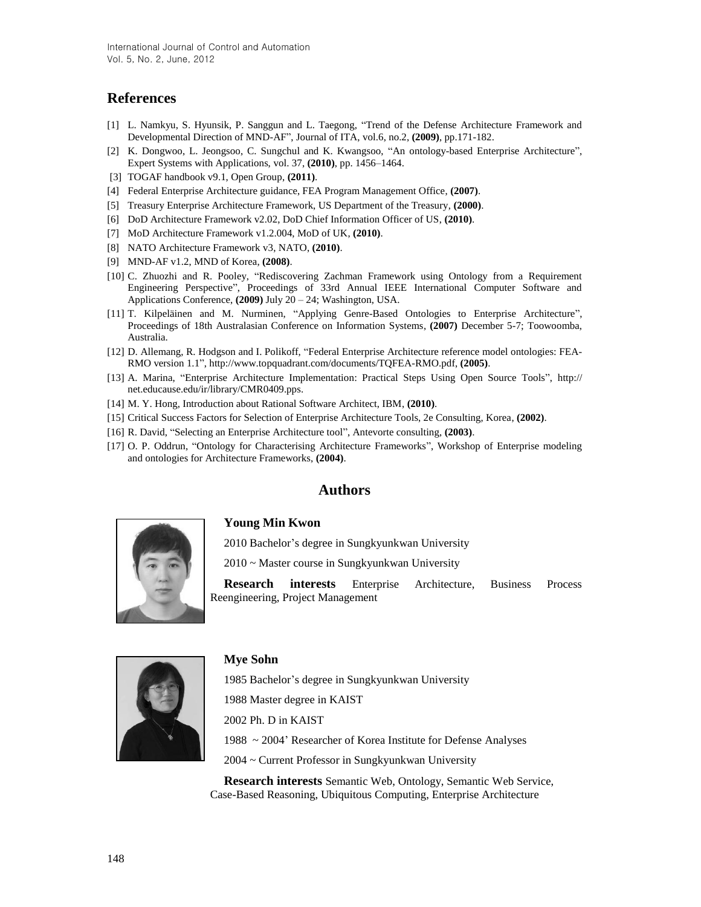## **References**

- [1] L. Namkyu, S. Hyunsik, P. Sanggun and L. Taegong, "Trend of the Defense Architecture Framework and Developmental Direction of MND-AF", Journal of ITA, vol.6, no.2, **(2009)**, pp.171-182.
- [2] K. Dongwoo, L. Jeongsoo, C. Sungchul and K. Kwangsoo, "An ontology-based Enterprise Architecture", Expert Systems with Applications, vol. 37, **(2010)**, pp. 1456–1464.
- [3] TOGAF handbook v9.1, Open Group, **(2011)**.
- [4] Federal Enterprise Architecture guidance, FEA Program Management Office, **(2007)**.
- [5] Treasury Enterprise Architecture Framework, US Department of the Treasury, **(2000)**.
- [6] DoD Architecture Framework v2.02, DoD Chief Information Officer of US, **(2010)**.
- [7] MoD Architecture Framework v1.2.004, MoD of UK, **(2010)**.
- [8] NATO Architecture Framework v3, NATO, **(2010)**.
- [9] MND-AF v1.2, MND of Korea, **(2008)**.
- [10] C. Zhuozhi and R. Pooley, "Rediscovering Zachman Framework using Ontology from a Requirement Engineering Perspective", Proceedings of 33rd Annual IEEE International Computer Software and Applications Conference, **(2009)** July 20 – 24; Washington, USA.
- [11] T. Kilpeläinen and M. Nurminen, "Applying Genre-Based Ontologies to Enterprise Architecture", Proceedings of 18th Australasian Conference on Information Systems, **(2007)** December 5-7; Toowoomba, Australia.
- [12] D. Allemang, R. Hodgson and I. Polikoff, "Federal Enterprise Architecture reference model ontologies: FEA-RMO version 1.1", http://www.topquadrant.com/documents/TQFEA-RMO.pdf, **(2005)**.
- [13] A. Marina, "Enterprise Architecture Implementation: Practical Steps Using Open Source Tools", http:// net.educause.edu/ir/library/CMR0409.pps.
- [14] M. Y. Hong, Introduction about Rational Software Architect, IBM, **(2010)**.
- [15] Critical Success Factors for Selection of Enterprise Architecture Tools, 2e Consulting, Korea, **(2002)**.
- [16] R. David, "Selecting an Enterprise Architecture tool", Antevorte consulting, **(2003)**.
- [17] O. P. Oddrun, "Ontology for Characterising Architecture Frameworks", Workshop of Enterprise modeling and ontologies for Architecture Frameworks, **(2004)**.

### **Authors**



#### **Young Min Kwon**

2010 Bachelor's degree in Sungkyunkwan University

2010 ~ Master course in Sungkyunkwan University

**Research interests** Enterprise Architecture, Business Process Reengineering, Project Management



#### **Mye Sohn**

1985 Bachelor's degree in Sungkyunkwan University

1988 Master degree in KAIST

2002 Ph. D in KAIST

1988 ~ 2004' Researcher of Korea Institute for Defense Analyses

2004 ~ Current Professor in Sungkyunkwan University

**Research interests** Semantic Web, Ontology, Semantic Web Service, Case-Based Reasoning, Ubiquitous Computing, Enterprise Architecture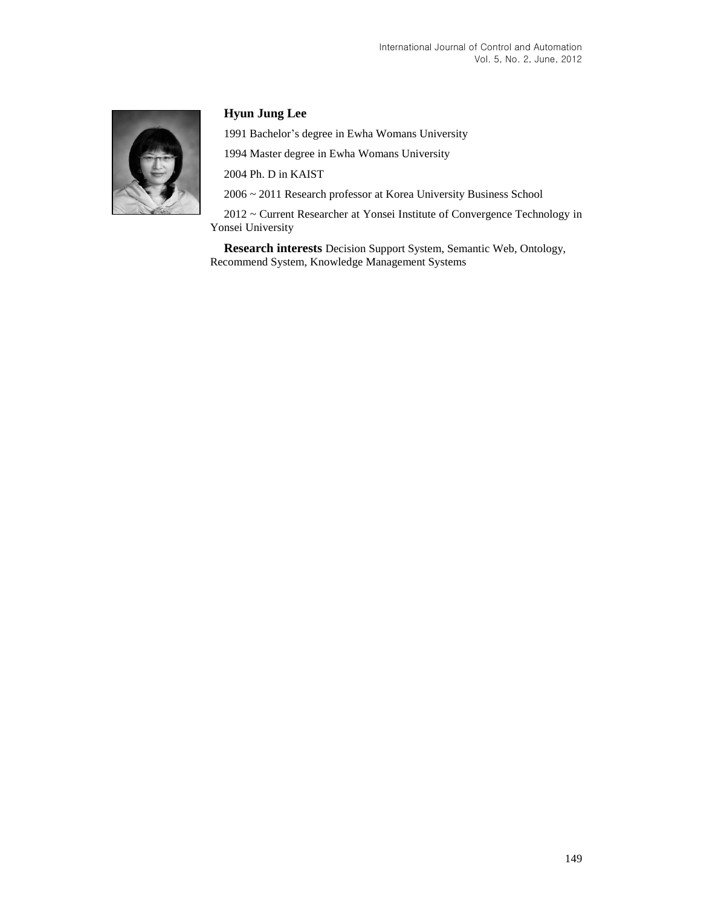

## **Hyun Jung Lee**

1991 Bachelor's degree in Ewha Womans University

1994 Master degree in Ewha Womans University

2004 Ph. D in KAIST

2006 ~ 2011 Research professor at Korea University Business School

2012 ~ Current Researcher at Yonsei Institute of Convergence Technology in Yonsei University

**Research interests** Decision Support System, Semantic Web, Ontology, Recommend System, Knowledge Management Systems